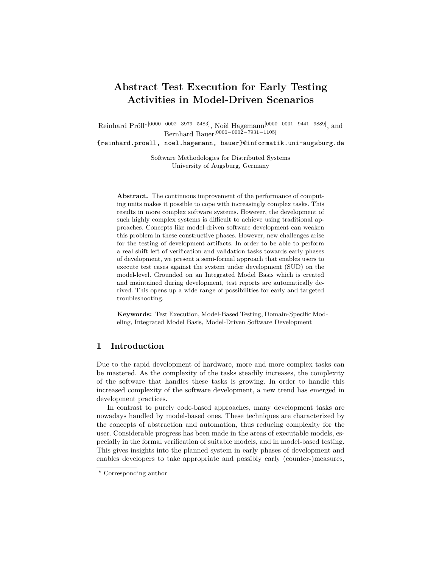# **Abstract Test Execution for Early Testing Activities in Model-Driven Scenarios**

Reinhard Pröll*?*[0000−0002−3979−5483], Noël Hagemann[0000−0001−9441−9889], and Bernhard Bauer[0000−0002−7931−1105]

{reinhard.proell, noel.hagemann, bauer}@informatik.uni-augsburg.de

Software Methodologies for Distributed Systems University of Augsburg, Germany

**Abstract.** The continuous improvement of the performance of computing units makes it possible to cope with increasingly complex tasks. This results in more complex software systems. However, the development of such highly complex systems is difficult to achieve using traditional approaches. Concepts like model-driven software development can weaken this problem in these constructive phases. However, new challenges arise for the testing of development artifacts. In order to be able to perform a real shift left of verification and validation tasks towards early phases of development, we present a semi-formal approach that enables users to execute test cases against the system under development (SUD) on the model-level. Grounded on an Integrated Model Basis which is created and maintained during development, test reports are automatically derived. This opens up a wide range of possibilities for early and targeted troubleshooting.

**Keywords:** Test Execution, Model-Based Testing, Domain-Specific Modeling, Integrated Model Basis, Model-Driven Software Development

## <span id="page-0-0"></span>**1 Introduction**

Due to the rapid development of hardware, more and more complex tasks can be mastered. As the complexity of the tasks steadily increases, the complexity of the software that handles these tasks is growing. In order to handle this increased complexity of the software development, a new trend has emerged in development practices.

In contrast to purely code-based approaches, many development tasks are nowadays handled by model-based ones. These techniques are characterized by the concepts of abstraction and automation, thus reducing complexity for the user. Considerable progress has been made in the areas of executable models, especially in the formal verification of suitable models, and in model-based testing. This gives insights into the planned system in early phases of development and enables developers to take appropriate and possibly early (counter-)measures,

*<sup>?</sup>* Corresponding author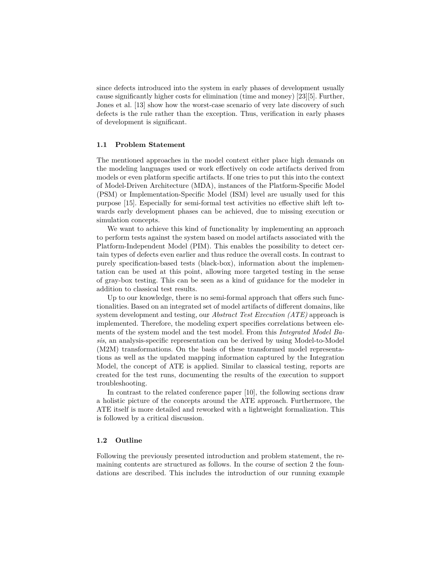since defects introduced into the system in early phases of development usually cause significantly higher costs for elimination (time and money) [\[23\]](#page-24-0)[\[5\]](#page-23-0). Further, Jones et al. [\[13\]](#page-23-1) show how the worst-case scenario of very late discovery of such defects is the rule rather than the exception. Thus, verification in early phases of development is significant.

## **1.1 Problem Statement**

The mentioned approaches in the model context either place high demands on the modeling languages used or work effectively on code artifacts derived from models or even platform specific artifacts. If one tries to put this into the context of Model-Driven Architecture (MDA), instances of the Platform-Specific Model (PSM) or Implementation-Specific Model (ISM) level are usually used for this purpose [\[15\]](#page-24-1). Especially for semi-formal test activities no effective shift left towards early development phases can be achieved, due to missing execution or simulation concepts.

We want to achieve this kind of functionality by implementing an approach to perform tests against the system based on model artifacts associated with the Platform-Independent Model (PIM). This enables the possibility to detect certain types of defects even earlier and thus reduce the overall costs. In contrast to purely specification-based tests (black-box), information about the implementation can be used at this point, allowing more targeted testing in the sense of gray-box testing. This can be seen as a kind of guidance for the modeler in addition to classical test results.

Up to our knowledge, there is no semi-formal approach that offers such functionalities. Based on an integrated set of model artifacts of different domains, like system development and testing, our *Abstract Test Execution (ATE)* approach is implemented. Therefore, the modeling expert specifies correlations between elements of the system model and the test model. From this *Integrated Model Basis*, an analysis-specific representation can be derived by using Model-to-Model (M2M) transformations. On the basis of these transformed model representations as well as the updated mapping information captured by the Integration Model, the concept of ATE is applied. Similar to classical testing, reports are created for the test runs, documenting the results of the execution to support troubleshooting.

In contrast to the related conference paper [\[10\]](#page-23-2), the following sections draw a holistic picture of the concepts around the ATE approach. Furthermore, the ATE itself is more detailed and reworked with a lightweight formalization. This is followed by a critical discussion.

#### **1.2 Outline**

Following the previously presented introduction and problem statement, the remaining contents are structured as follows. In the course of section [2](#page-2-0) the foundations are described. This includes the introduction of our running example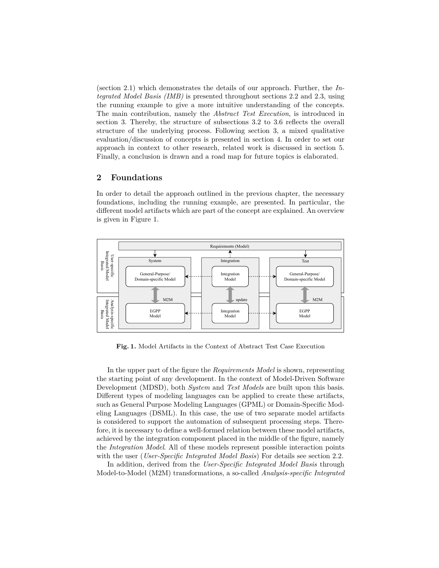(section [2.1\)](#page-3-0) which demonstrates the details of our approach. Further, the *Integrated Model Basis (IMB)* is presented throughout sections [2.2](#page-3-1) and [2.3,](#page-5-0) using the running example to give a more intuitive understanding of the concepts. The main contribution, namely the *Abstract Test Execution*, is introduced in section [3.](#page-8-0) Thereby, the structure of subsections [3.2](#page-9-0) to [3.6](#page-17-0) reflects the overall structure of the underlying process. Following section [3,](#page-8-0) a mixed qualitative evaluation/discussion of concepts is presented in section [4.](#page-18-0) In order to set our approach in context to other research, related work is discussed in section [5.](#page-21-0) Finally, a conclusion is drawn and a road map for future topics is elaborated.

## <span id="page-2-0"></span>**2 Foundations**

In order to detail the approach outlined in the previous chapter, the necessary foundations, including the running example, are presented. In particular, the different model artifacts which are part of the concept are explained. An overview is given in Figure [1.](#page-2-1)



<span id="page-2-1"></span>**Fig. 1.** Model Artifacts in the Context of Abstract Test Case Execution

In the upper part of the figure the *Requirements Model* is shown, representing the starting point of any development. In the context of Model-Driven Software Development (MDSD), both *System* and *Test Models* are built upon this basis. Different types of modeling languages can be applied to create these artifacts, such as General Purpose Modeling Languages (GPML) or Domain-Specific Modeling Languages (DSML). In this case, the use of two separate model artifacts is considered to support the automation of subsequent processing steps. Therefore, it is necessary to define a well-formed relation between these model artifacts, achieved by the integration component placed in the middle of the figure, namely the *Integration Model*. All of these models represent possible interaction points with the user (*User-Specific Integrated Model Basis*) For details see section [2.2.](#page-3-1)

In addition, derived from the *User-Specific Integrated Model Basis* through Model-to-Model (M2M) transformations, a so-called *Analysis-specific Integrated*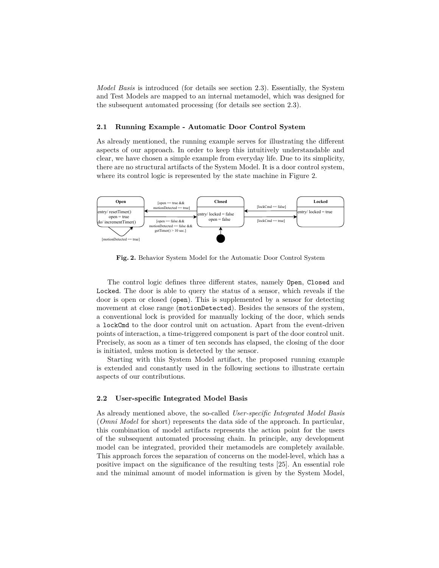*Model Basis* is introduced (for details see section [2.3\)](#page-5-0). Essentially, the System and Test Models are mapped to an internal metamodel, which was designed for the subsequent automated processing (for details see section [2.3\)](#page-5-0).

#### <span id="page-3-0"></span>**2.1 Running Example - Automatic Door Control System**

As already mentioned, the running example serves for illustrating the different aspects of our approach. In order to keep this intuitively understandable and clear, we have chosen a simple example from everyday life. Due to its simplicity, there are no structural artifacts of the System Model. It is a door control system, where its control logic is represented by the state machine in Figure [2.](#page-3-2)



<span id="page-3-2"></span>**Fig. 2.** Behavior System Model for the Automatic Door Control System

The control logic defines three different states, namely Open, Closed and Locked. The door is able to query the status of a sensor, which reveals if the door is open or closed (open). This is supplemented by a sensor for detecting movement at close range (motionDetected). Besides the sensors of the system, a conventional lock is provided for manually locking of the door, which sends a lockCmd to the door control unit on actuation. Apart from the event-driven points of interaction, a time-triggered component is part of the door control unit. Precisely, as soon as a timer of ten seconds has elapsed, the closing of the door is initiated, unless motion is detected by the sensor.

Starting with this System Model artifact, the proposed running example is extended and constantly used in the following sections to illustrate certain aspects of our contributions.

### <span id="page-3-1"></span>**2.2 User-specific Integrated Model Basis**

As already mentioned above, the so-called *User-specific Integrated Model Basis* (*Omni Model* for short) represents the data side of the approach. In particular, this combination of model artifacts represents the action point for the users of the subsequent automated processing chain. In principle, any development model can be integrated, provided their metamodels are completely available. This approach forces the separation of concerns on the model-level, which has a positive impact on the significance of the resulting tests [\[25\]](#page-24-2). An essential role and the minimal amount of model information is given by the System Model,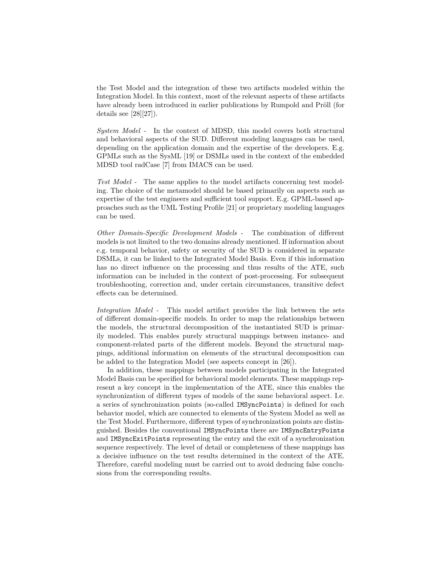the Test Model and the integration of these two artifacts modeled within the Integration Model. In this context, most of the relevant aspects of these artifacts have already been introduced in earlier publications by Rumpold and Pröll (for details see [\[28\]](#page-24-3)[\[27\]](#page-24-4)).

*System Model -* In the context of MDSD, this model covers both structural and behavioral aspects of the SUD. Different modeling languages can be used, depending on the application domain and the expertise of the developers. E.g. GPMLs such as the SysML [\[19\]](#page-24-5) or DSMLs used in the context of the embedded MDSD tool radCase [\[7\]](#page-23-3) from IMACS can be used.

*Test Model -* The same applies to the model artifacts concerning test modeling. The choice of the metamodel should be based primarily on aspects such as expertise of the test engineers and sufficient tool support. E.g. GPML-based approaches such as the UML Testing Profile [\[21\]](#page-24-6) or proprietary modeling languages can be used.

*Other Domain-Specific Development Models -* The combination of different models is not limited to the two domains already mentioned. If information about e.g. temporal behavior, safety or security of the SUD is considered in separate DSMLs, it can be linked to the Integrated Model Basis. Even if this information has no direct influence on the processing and thus results of the ATE, such information can be included in the context of post-processing. For subsequent troubleshooting, correction and, under certain circumstances, transitive defect effects can be determined.

*Integration Model -* This model artifact provides the link between the sets of different domain-specific models. In order to map the relationships between the models, the structural decomposition of the instantiated SUD is primarily modeled. This enables purely structural mappings between instance- and component-related parts of the different models. Beyond the structural mappings, additional information on elements of the structural decomposition can be added to the Integration Model (see aspects concept in [\[26\]](#page-24-7)).

In addition, these mappings between models participating in the Integrated Model Basis can be specified for behavioral model elements. These mappings represent a key concept in the implementation of the ATE, since this enables the synchronization of different types of models of the same behavioral aspect. I.e. a series of synchronization points (so-called IMSyncPoints) is defined for each behavior model, which are connected to elements of the System Model as well as the Test Model. Furthermore, different types of synchronization points are distinguished. Besides the conventional IMSyncPoints there are IMSyncEntryPoints and IMSyncExitPoints representing the entry and the exit of a synchronization sequence respectively. The level of detail or completeness of these mappings has a decisive influence on the test results determined in the context of the ATE. Therefore, careful modeling must be carried out to avoid deducing false conclusions from the corresponding results.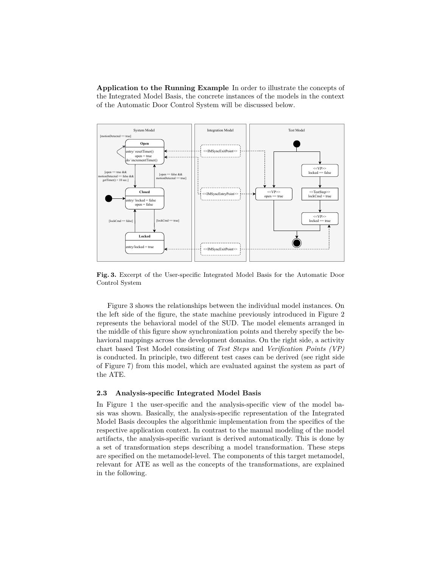**Application to the Running Example** In order to illustrate the concepts of the Integrated Model Basis, the concrete instances of the models in the context of the Automatic Door Control System will be discussed below.



<span id="page-5-1"></span>**Fig. 3.** Excerpt of the User-specific Integrated Model Basis for the Automatic Door Control System

Figure [3](#page-5-1) shows the relationships between the individual model instances. On the left side of the figure, the state machine previously introduced in Figure [2](#page-3-2) represents the behavioral model of the SUD. The model elements arranged in the middle of this figure show synchronization points and thereby specify the behavioral mappings across the development domains. On the right side, a activity chart based Test Model consisting of *Test Steps* and *Verification Points (VP)* is conducted. In principle, two different test cases can be derived (see right side of Figure [7\)](#page-10-0) from this model, which are evaluated against the system as part of the ATE.

#### <span id="page-5-0"></span>**2.3 Analysis-specific Integrated Model Basis**

In Figure [1](#page-2-1) the user-specific and the analysis-specific view of the model basis was shown. Basically, the analysis-specific representation of the Integrated Model Basis decouples the algorithmic implementation from the specifics of the respective application context. In contrast to the manual modeling of the model artifacts, the analysis-specific variant is derived automatically. This is done by a set of transformation steps describing a model transformation. These steps are specified on the metamodel-level. The components of this target metamodel, relevant for ATE as well as the concepts of the transformations, are explained in the following.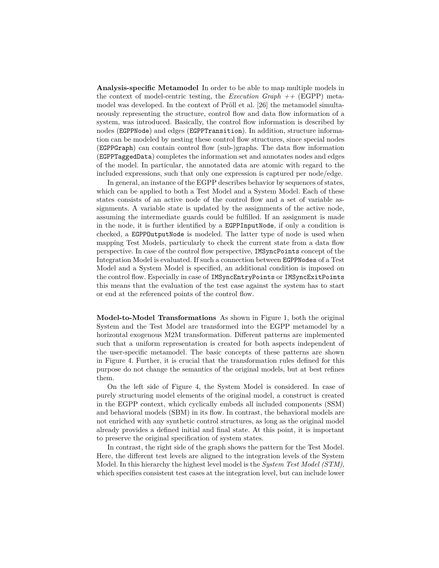<span id="page-6-0"></span>**Analysis-specific Metamodel** In order to be able to map multiple models in the context of model-centric testing, the *Execution Graph ++* (EGPP) metamodel was developed. In the context of Pröll et al. [\[26\]](#page-24-7) the metamodel simultaneously representing the structure, control flow and data flow information of a system, was introduced. Basically, the control flow information is described by nodes (EGPPNode) and edges (EGPPTransition). In addition, structure information can be modeled by nesting these control flow structures, since special nodes (EGPPGraph) can contain control flow (sub-)graphs. The data flow information (EGPPTaggedData) completes the information set and annotates nodes and edges of the model. In particular, the annotated data are atomic with regard to the included expressions, such that only one expression is captured per node/edge.

In general, an instance of the EGPP describes behavior by sequences of states, which can be applied to both a Test Model and a System Model. Each of these states consists of an active node of the control flow and a set of variable assignments. A variable state is updated by the assignments of the active node, assuming the intermediate guards could be fulfilled. If an assignment is made in the node, it is further identified by a EGPPInputNode, if only a condition is checked, a EGPPOutputNode is modeled. The latter type of node is used when mapping Test Models, particularly to check the current state from a data flow perspective. In case of the control flow perspective, IMSyncPoints concept of the Integration Model is evaluated. If such a connection between EGPPNodes of a Test Model and a System Model is specified, an additional condition is imposed on the control flow. Especially in case of IMSyncEntryPoints or IMSyncExitPoints this means that the evaluation of the test case against the system has to start or end at the referenced points of the control flow.

<span id="page-6-1"></span>**Model-to-Model Transformations** As shown in Figure [1,](#page-2-1) both the original System and the Test Model are transformed into the EGPP metamodel by a horizontal exogenous M2M transformation. Different patterns are implemented such that a uniform representation is created for both aspects independent of the user-specific metamodel. The basic concepts of these patterns are shown in Figure [4.](#page-7-0) Further, it is crucial that the transformation rules defined for this purpose do not change the semantics of the original models, but at best refines them.

On the left side of Figure [4,](#page-7-0) the System Model is considered. In case of purely structuring model elements of the original model, a construct is created in the EGPP context, which cyclically embeds all included components (SSM) and behavioral models (SBM) in its flow. In contrast, the behavioral models are not enriched with any synthetic control structures, as long as the original model already provides a defined initial and final state. At this point, it is important to preserve the original specification of system states.

In contrast, the right side of the graph shows the pattern for the Test Model. Here, the different test levels are aligned to the integration levels of the System Model. In this hierarchy the highest level model is the *System Test Model (STM)*, which specifies consistent test cases at the integration level, but can include lower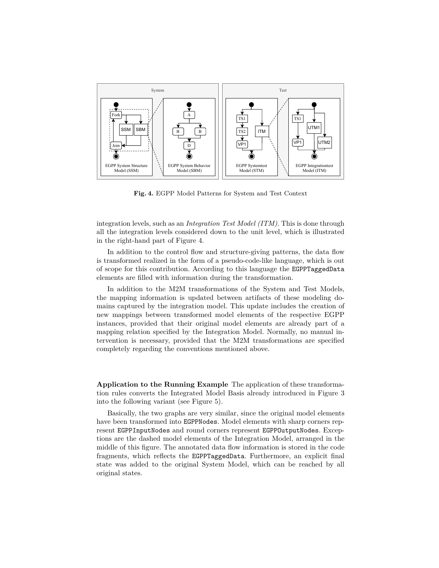

<span id="page-7-0"></span>**Fig. 4.** EGPP Model Patterns for System and Test Context

integration levels, such as an *Integration Test Model (ITM)*. This is done through all the integration levels considered down to the unit level, which is illustrated in the right-hand part of Figure [4.](#page-7-0)

In addition to the control flow and structure-giving patterns, the data flow is transformed realized in the form of a pseudo-code-like language, which is out of scope for this contribution. According to this language the EGPPTaggedData elements are filled with information during the transformation.

In addition to the M2M transformations of the System and Test Models, the mapping information is updated between artifacts of these modeling domains captured by the integration model. This update includes the creation of new mappings between transformed model elements of the respective EGPP instances, provided that their original model elements are already part of a mapping relation specified by the Integration Model. Normally, no manual intervention is necessary, provided that the M2M transformations are specified completely regarding the conventions mentioned above.

**Application to the Running Example** The application of these transformation rules converts the Integrated Model Basis already introduced in Figure [3](#page-5-1) into the following variant (see Figure [5\)](#page-8-1).

Basically, the two graphs are very similar, since the original model elements have been transformed into EGPPNodes. Model elements with sharp corners represent EGPPInputNodes and round corners represent EGPPOutputNodes. Exceptions are the dashed model elements of the Integration Model, arranged in the middle of this figure. The annotated data flow information is stored in the code fragments, which reflects the EGPPTaggedData. Furthermore, an explicit final state was added to the original System Model, which can be reached by all original states.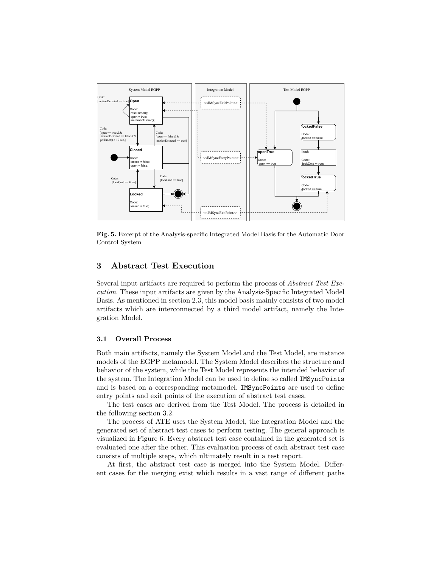

<span id="page-8-1"></span>**Fig. 5.** Excerpt of the Analysis-specific Integrated Model Basis for the Automatic Door Control System

# <span id="page-8-0"></span>**3 Abstract Test Execution**

Several input artifacts are required to perform the process of *Abstract Test Execution*. These input artifacts are given by the Analysis-Specific Integrated Model Basis. As mentioned in section [2.3,](#page-5-0) this model basis mainly consists of two model artifacts which are interconnected by a third model artifact, namely the Integration Model.

#### **3.1 Overall Process**

Both main artifacts, namely the System Model and the Test Model, are instance models of the EGPP metamodel. The System Model describes the structure and behavior of the system, while the Test Model represents the intended behavior of the system. The Integration Model can be used to define so called IMSyncPoints and is based on a corresponding metamodel. IMSyncPoints are used to define entry points and exit points of the execution of abstract test cases.

The test cases are derived from the Test Model. The process is detailed in the following section [3.2.](#page-9-0)

The process of ATE uses the System Model, the Integration Model and the generated set of abstract test cases to perform testing. The general approach is visualized in Figure [6.](#page-9-1) Every abstract test case contained in the generated set is evaluated one after the other. This evaluation process of each abstract test case consists of multiple steps, which ultimately result in a test report.

At first, the abstract test case is merged into the System Model. Different cases for the merging exist which results in a vast range of different paths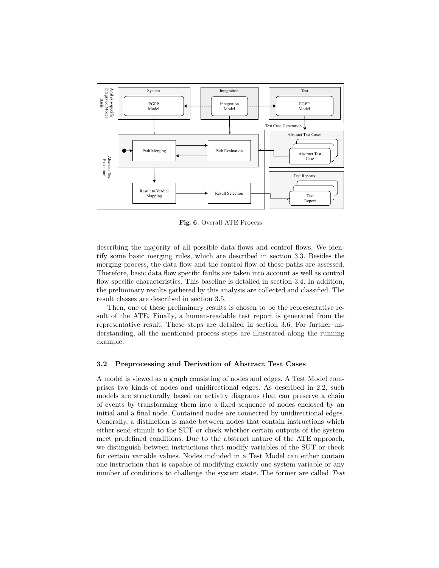

<span id="page-9-1"></span>**Fig. 6.** Overall ATE Process

describing the majority of all possible data flows and control flows. We identify some basic merging rules, which are described in section [3.3.](#page-10-1) Besides the merging process, the data flow and the control flow of these paths are assessed. Therefore, basic data flow specific faults are taken into account as well as control flow specific characteristics. This baseline is detailed in section [3.4.](#page-13-0) In addition, the preliminary results gathered by this analysis are collected and classified. The result classes are described in section [3.5.](#page-16-0)

Then, one of these preliminary results is chosen to be the representative result of the ATE. Finally, a human-readable test report is generated from the representative result. These steps are detailed in section [3.6.](#page-17-0) For further understanding, all the mentioned process steps are illustrated along the running example.

## <span id="page-9-0"></span>**3.2 Preprocessing and Derivation of Abstract Test Cases**

A model is viewed as a graph consisting of nodes and edges. A Test Model comprises two kinds of nodes and unidirectional edges. As described in [2.2,](#page-3-1) such models are structurally based on activity diagrams that can preserve a chain of events by transforming them into a fixed sequence of nodes enclosed by an initial and a final node. Contained nodes are connected by unidirectional edges. Generally, a distinction is made between nodes that contain instructions which either send stimuli to the SUT or check whether certain outputs of the system meet predefined conditions. Due to the abstract nature of the ATE approach, we distinguish between instructions that modify variables of the SUT or check for certain variable values. Nodes included in a Test Model can either contain one instruction that is capable of modifying exactly one system variable or any number of conditions to challenge the system state. The former are called *Test*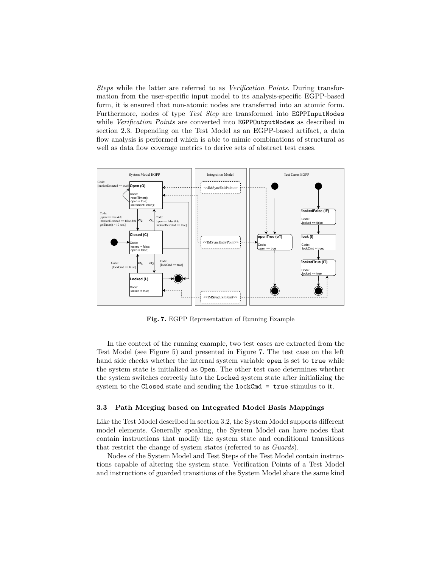*Steps* while the latter are referred to as *Verification Points*. During transformation from the user-specific input model to its analysis-specific EGPP-based form, it is ensured that non-atomic nodes are transferred into an atomic form. Furthermore, nodes of type *Test Step* are transformed into EGPPInputNodes while *Verification Points* are converted into EGPPOutputNodes as described in section [2.3.](#page-6-0) Depending on the Test Model as an EGPP-based artifact, a data flow analysis is performed which is able to mimic combinations of structural as well as data flow coverage metrics to derive sets of abstract test cases.



<span id="page-10-0"></span>**Fig. 7.** EGPP Representation of Running Example

In the context of the running example, two test cases are extracted from the Test Model (see Figure [5\)](#page-8-1) and presented in Figure [7.](#page-10-0) The test case on the left hand side checks whether the internal system variable open is set to true while the system state is initialized as Open. The other test case determines whether the system switches correctly into the Locked system state after initializing the system to the Closed state and sending the lockCmd = true stimulus to it.

#### <span id="page-10-1"></span>**3.3 Path Merging based on Integrated Model Basis Mappings**

Like the Test Model described in section [3.2,](#page-9-0) the System Model supports different model elements. Generally speaking, the System Model can have nodes that contain instructions that modify the system state and conditional transitions that restrict the change of system states (referred to as *Guards*).

Nodes of the System Model and Test Steps of the Test Model contain instructions capable of altering the system state. Verification Points of a Test Model and instructions of guarded transitions of the System Model share the same kind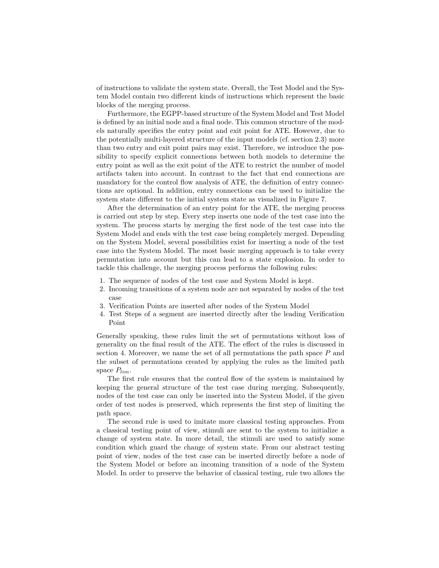of instructions to validate the system state. Overall, the Test Model and the System Model contain two different kinds of instructions which represent the basic blocks of the merging process.

Furthermore, the EGPP-based structure of the System Model and Test Model is defined by an initial node and a final node. This common structure of the models naturally specifies the entry point and exit point for ATE. However, due to the potentially multi-layered structure of the input models (cf. section [2.3\)](#page-6-1) more than two entry and exit point pairs may exist. Therefore, we introduce the possibility to specify explicit connections between both models to determine the entry point as well as the exit point of the ATE to restrict the number of model artifacts taken into account. In contrast to the fact that end connections are mandatory for the control flow analysis of ATE, the definition of entry connections are optional. In addition, entry connections can be used to initialize the system state different to the initial system state as visualized in Figure [7.](#page-10-0)

After the determination of an entry point for the ATE, the merging process is carried out step by step. Every step inserts one node of the test case into the system. The process starts by merging the first node of the test case into the System Model and ends with the test case being completely merged. Depending on the System Model, several possibilities exist for inserting a node of the test case into the System Model. The most basic merging approach is to take every permutation into account but this can lead to a state explosion. In order to tackle this challenge, the merging process performs the following rules:

- 1. The sequence of nodes of the test case and System Model is kept.
- 2. Incoming transitions of a system node are not separated by nodes of the test case
- 3. Verification Points are inserted after nodes of the System Model
- 4. Test Steps of a segment are inserted directly after the leading Verification Point

Generally speaking, these rules limit the set of permutations without loss of generality on the final result of the ATE. The effect of the rules is discussed in section [4.](#page-18-0) Moreover, we name the set of all permutations the path space *P* and the subset of permutations created by applying the rules as the limited path space *Plim*.

The first rule ensures that the control flow of the system is maintained by keeping the general structure of the test case during merging. Subsequently, nodes of the test case can only be inserted into the System Model, if the given order of test nodes is preserved, which represents the first step of limiting the path space.

The second rule is used to imitate more classical testing approaches. From a classical testing point of view, stimuli are sent to the system to initialize a change of system state. In more detail, the stimuli are used to satisfy some condition which guard the change of system state. From our abstract testing point of view, nodes of the test case can be inserted directly before a node of the System Model or before an incoming transition of a node of the System Model. In order to preserve the behavior of classical testing, rule two allows the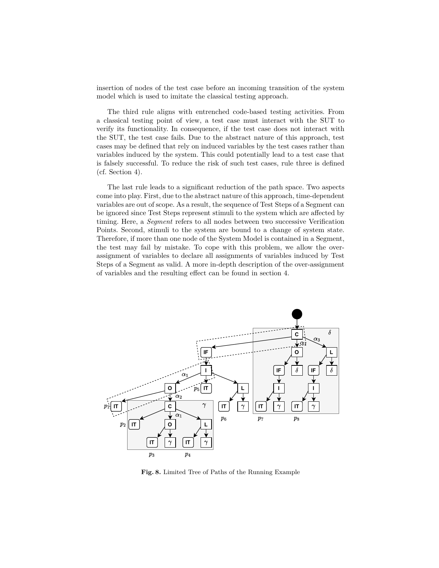insertion of nodes of the test case before an incoming transition of the system model which is used to imitate the classical testing approach.

The third rule aligns with entrenched code-based testing activities. From a classical testing point of view, a test case must interact with the SUT to verify its functionality. In consequence, if the test case does not interact with the SUT, the test case fails. Due to the abstract nature of this approach, test cases may be defined that rely on induced variables by the test cases rather than variables induced by the system. This could potentially lead to a test case that is falsely successful. To reduce the risk of such test cases, rule three is defined (cf. Section [4\)](#page-18-0).

The last rule leads to a significant reduction of the path space. Two aspects come into play. First, due to the abstract nature of this approach, time-dependent variables are out of scope. As a result, the sequence of Test Steps of a Segment can be ignored since Test Steps represent stimuli to the system which are affected by timing. Here, a *Segment* refers to all nodes between two successive Verification Points. Second, stimuli to the system are bound to a change of system state. Therefore, if more than one node of the System Model is contained in a Segment, the test may fail by mistake. To cope with this problem, we allow the overassignment of variables to declare all assignments of variables induced by Test Steps of a Segment as valid. A more in-depth description of the over-assignment of variables and the resulting effect can be found in section [4.](#page-18-0)



<span id="page-12-0"></span>**Fig. 8.** Limited Tree of Paths of the Running Example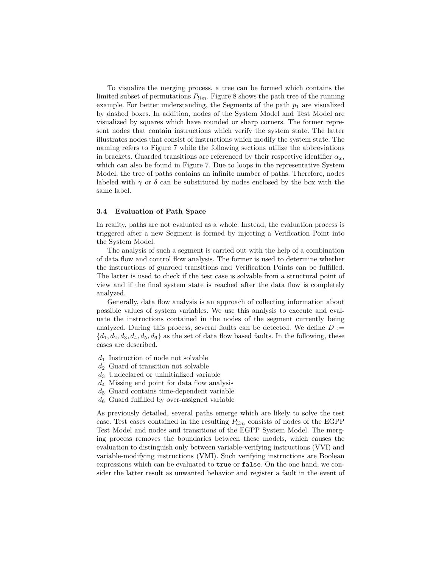To visualize the merging process, a tree can be formed which contains the limited subset of permutations *Plim*. Figure [8](#page-12-0) shows the path tree of the running example. For better understanding, the Segments of the path  $p_1$  are visualized by dashed boxes. In addition, nodes of the System Model and Test Model are visualized by squares which have rounded or sharp corners. The former represent nodes that contain instructions which verify the system state. The latter illustrates nodes that consist of instructions which modify the system state. The naming refers to Figure [7](#page-10-0) while the following sections utilize the abbreviations in brackets. Guarded transitions are referenced by their respective identifier  $\alpha_x$ , which can also be found in Figure [7.](#page-10-0) Due to loops in the representative System Model, the tree of paths contains an infinite number of paths. Therefore, nodes labeled with  $\gamma$  or  $\delta$  can be substituted by nodes enclosed by the box with the same label.

#### <span id="page-13-0"></span>**3.4 Evaluation of Path Space**

In reality, paths are not evaluated as a whole. Instead, the evaluation process is triggered after a new Segment is formed by injecting a Verification Point into the System Model.

The analysis of such a segment is carried out with the help of a combination of data flow and control flow analysis. The former is used to determine whether the instructions of guarded transitions and Verification Points can be fulfilled. The latter is used to check if the test case is solvable from a structural point of view and if the final system state is reached after the data flow is completely analyzed.

Generally, data flow analysis is an approach of collecting information about possible values of system variables. We use this analysis to execute and evaluate the instructions contained in the nodes of the segment currently being analyzed. During this process, several faults can be detected. We define  $D :=$  ${d_1, d_2, d_3, d_4, d_5, d_6}$  as the set of data flow based faults. In the following, these cases are described.

- *d*<sup>1</sup> Instruction of node not solvable
- *d*<sup>2</sup> Guard of transition not solvable
- *d*<sup>3</sup> Undeclared or uninitialized variable
- *d*<sup>4</sup> Missing end point for data flow analysis
- *d*<sup>5</sup> Guard contains time-dependent variable
- *d*<sup>6</sup> Guard fulfilled by over-assigned variable

As previously detailed, several paths emerge which are likely to solve the test case. Test cases contained in the resulting *Plim* consists of nodes of the EGPP Test Model and nodes and transitions of the EGPP System Model. The merging process removes the boundaries between these models, which causes the evaluation to distinguish only between variable-verifying instructions (VVI) and variable-modifying instructions (VMI). Such verifying instructions are Boolean expressions which can be evaluated to true or false. On the one hand, we consider the latter result as unwanted behavior and register a fault in the event of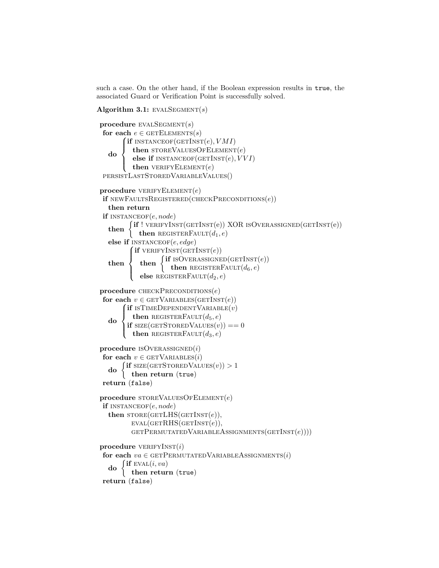such a case. On the other hand, if the Boolean expression results in true, the associated Guard or Verification Point is successfully solved.

```
Algorithm 3.1: EVALSEGMENT(s)
```

```
\mathbf{procedure} EVALSEGMENT(s)for each e \in GETELEMENTS(s)
   \frac{1}{40}\int if INSTANCEOF(GETINST(e), VMI)
        \overline{\mathcal{L}}{\bf then} storeValuesOfElement(e){\bf else \ if \ INSTANCEOF(GETINST(e), VVI)}then verifyElement(e)persistLastStoredVariableValues()
procedure VERIFYELEMENT(e)if newFaultsRegistered(checkPreconditions(e))
   then return
 if INSTANCEOF(e, node)then \left\{ \begin{matrix} \text{if } ! \text{ versus } ( \text{GETInST}(e) ) \text{ XOR } \text{ isOverASSIGNED}(\text{GETInST}(e) ) \end{matrix} \right\}then REGISTERFAULT(d_1, e)else if INSTANCEOF(e, edge)then

           \int if verifyInst(GETINST(e))
           \overline{\mathcal{L}}then \left\{ \text{if } \text{ISOVERASSIGNED}(\text{GETInST}(e)) \right\}{\bf then} registerFault(d_6, e)\mathbf{else} REGISTERFAULT(d_2, e)procedure checkPreconditions(e)
 for each v \in \text{GETVARIABLES}(\text{GETInST}(e))do

        \int if ISTIMEDEPENDENTVARIABLE(v)\overline{\mathcal{L}}{\bf then} registerFault(d_5, e)if size(GETSTOREDVALUES(v)) == 0then REGISTERFAULT(d_3, e)
 for each v \in GETVARIABLES(i)
   do \begin{cases} \text{if } \text{SIZE}(\text{GETSTOREDVALUE}(v)) > 1 \\ \text{then } \text{return } (\text{true}) \end{cases}then return (true)
 return (false)
\mathbf{procedure} storeValuesOfElement(e)if INSTANCEOF(e, node)then STORE(GETLHS(GETINST(e)),EVAL(GETRHS(GETNST(e)),getPermutatedVariableAssignments(getInst(e))))
\mathbf{procedure} verify\text{INST}(i)for each va \in \text{GETPERMUTATEDVARIABLEASSIGNMENTS}(i)\bf{do} \left\{ \begin{matrix} \textbf{if} \text{ EVAL}(i, va) \\ \textbf{then} \text{ return} \end{matrix} \right\}then return (true)
 return (false)
```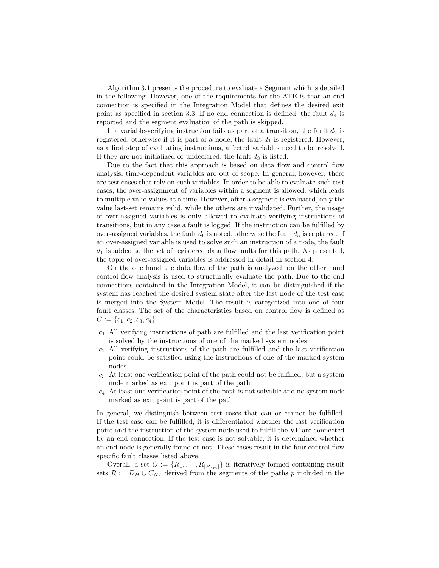Algorithm [3.1](#page-14-0) presents the procedure to evaluate a Segment which is detailed in the following. However, one of the requirements for the ATE is that an end connection is specified in the Integration Model that defines the desired exit point as specified in section [3.3.](#page-10-1) If no end connection is defined, the fault  $d_4$  is reported and the segment evaluation of the path is skipped.

If a variable-verifying instruction fails as part of a transition, the fault  $d_2$  is registered, otherwise if it is part of a node, the fault  $d_1$  is registered. However, as a first step of evaluating instructions, affected variables need to be resolved. If they are not initialized or undeclared, the fault  $d_3$  is listed.

Due to the fact that this approach is based on data flow and control flow analysis, time-dependent variables are out of scope. In general, however, there are test cases that rely on such variables. In order to be able to evaluate such test cases, the over-assignment of variables within a segment is allowed, which leads to multiple valid values at a time. However, after a segment is evaluated, only the value last-set remains valid, while the others are invalidated. Further, the usage of over-assigned variables is only allowed to evaluate verifying instructions of transitions, but in any case a fault is logged. If the instruction can be fulfilled by over-assigned variables, the fault  $d_6$  is noted, otherwise the fault  $d_5$  is captured. If an over-assigned variable is used to solve such an instruction of a node, the fault  $d_1$  is added to the set of registered data flow faults for this path. As presented, the topic of over-assigned variables is addressed in detail in section [4.](#page-18-0)

On the one hand the data flow of the path is analyzed, on the other hand control flow analysis is used to structurally evaluate the path. Due to the end connections contained in the Integration Model, it can be distinguished if the system has reached the desired system state after the last node of the test case is merged into the System Model. The result is categorized into one of four fault classes. The set of the characteristics based on control flow is defined as  $C := \{c_1, c_2, c_3, c_4\}.$ 

- *c*<sup>1</sup> All verifying instructions of path are fulfilled and the last verification point is solved by the instructions of one of the marked system nodes
- *c*<sup>2</sup> All verifying instructions of the path are fulfilled and the last verification point could be satisfied using the instructions of one of the marked system nodes
- *c*<sup>3</sup> At least one verification point of the path could not be fulfilled, but a system node marked as exit point is part of the path
- *c*<sup>4</sup> At least one verification point of the path is not solvable and no system node marked as exit point is part of the path

In general, we distinguish between test cases that can or cannot be fulfilled. If the test case can be fulfilled, it is differentiated whether the last verification point and the instruction of the system node used to fulfill the VP are connected by an end connection. If the test case is not solvable, it is determined whether an end node is generally found or not. These cases result in the four control flow specific fault classes listed above.

Overall, a set  $O := \{R_1, \ldots, R_{|P_{lim}|\}}$  is iteratively formed containing result sets  $R := D_H \cup C_{NI}$  derived from the segments of the paths p included in the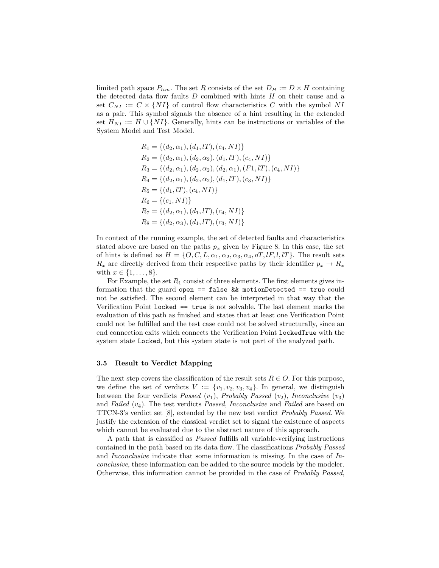limited path space  $P_{lim}$ . The set R consists of the set  $D_H := D \times H$  containing the detected data flow faults *D* combined with hints *H* on their cause and a set  $C_{NI} := C \times \{NI\}$  of control flow characteristics *C* with the symbol NI as a pair. This symbol signals the absence of a hint resulting in the extended set  $H_{NI} := H \cup \{NI\}$ . Generally, hints can be instructions or variables of the System Model and Test Model.

$$
R_1 = \{(d_2, \alpha_1), (d_1, lT), (c_4, NI)\}
$$
  
\n
$$
R_2 = \{(d_2, \alpha_1), (d_2, \alpha_2), (d_1, lT), (c_4, NI)\}
$$
  
\n
$$
R_3 = \{(d_2, \alpha_1), (d_2, \alpha_2), (d_2, \alpha_1), (F_1, lT), (c_4, NI)\}
$$
  
\n
$$
R_4 = \{(d_2, \alpha_1), (d_2, \alpha_2), (d_1, lT), (c_3, NI)\}
$$
  
\n
$$
R_5 = \{(d_1, lT), (c_4, NI)\}
$$
  
\n
$$
R_6 = \{(c_1, NI)\}
$$
  
\n
$$
R_7 = \{(d_2, \alpha_1), (d_1, lT), (c_4, NI)\}
$$
  
\n
$$
R_8 = \{(d_2, \alpha_3), (d_1, lT), (c_3, NI)\}
$$

In context of the running example, the set of detected faults and characteristics stated above are based on the paths  $p_x$  given by Figure [8.](#page-12-0) In this case, the set of hints is defined as  $H = \{O, C, L, \alpha_1, \alpha_2, \alpha_3, \alpha_4, \alpha T, lF, l, lT\}$ . The result sets  $R_x$  are directly derived from their respective paths by their identifier  $p_x \to R_x$ with  $x \in \{1, \ldots, 8\}.$ 

For Example, the set  $R_1$  consist of three elements. The first elements gives information that the guard open == false && motionDetected == true could not be satisfied. The second element can be interpreted in that way that the Verification Point locked == true is not solvable. The last element marks the evaluation of this path as finished and states that at least one Verification Point could not be fulfilled and the test case could not be solved structurally, since an end connection exits which connects the Verification Point lockedTrue with the system state Locked, but this system state is not part of the analyzed path.

#### <span id="page-16-0"></span>**3.5 Result to Verdict Mapping**

The next step covers the classification of the result sets  $R \in O$ . For this purpose, we define the set of verdicts  $V := \{v_1, v_2, v_3, v_4\}$ . In general, we distinguish between the four verdicts *Passed*  $(v_1)$ , *Probably Passed*  $(v_2)$ , *Inconclusive*  $(v_3)$ and *Failed* (*v*4). The test verdicts *Passed*, *Inconclusive* and *Failed* are based on TTCN-3's verdict set [\[8\]](#page-23-4), extended by the new test verdict *Probably Passed*. We justify the extension of the classical verdict set to signal the existence of aspects which cannot be evaluated due to the abstract nature of this approach.

A path that is classified as *Passed* fulfills all variable-verifying instructions contained in the path based on its data flow. The classifications *Probably Passed* and *Inconclusive* indicate that some information is missing. In the case of *Inconclusive*, these information can be added to the source models by the modeler. Otherwise, this information cannot be provided in the case of *Probably Passed*,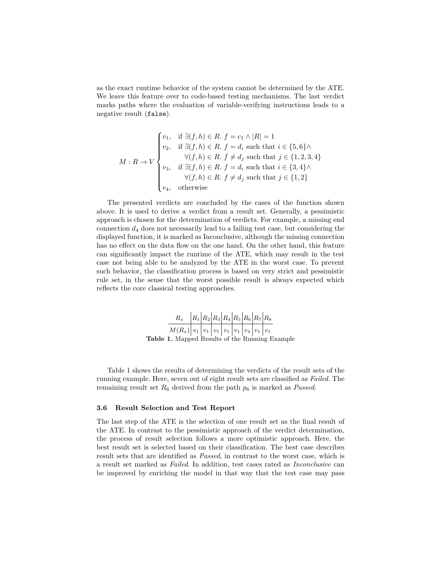as the exact runtime behavior of the system cannot be determined by the ATE. We leave this feature over to code-based testing mechanisms. The last verdict marks paths where the evaluation of variable-verifying instructions leads to a negative result (false).

$$
M: R \to V
$$
\n
$$
\begin{cases}\nv_1, & \text{if } \exists (f, h) \in R. \ f = c_1 \land |R| = 1 \\
v_2, & \text{if } \exists (f, h) \in R. \ f = d_i \text{ such that } i \in \{5, 6\} \land \\
\forall (f, h) \in R. \ f \neq d_j \text{ such that } j \in \{1, 2, 3, 4\} \\
v_3, & \text{if } \exists (f, h) \in R. \ f = d_i \text{ such that } i \in \{3, 4\} \land \\
\forall (f, h) \in R. \ f \neq d_j \text{ such that } j \in \{1, 2\} \\
v_4, & \text{otherwise}\n\end{cases}
$$

The presented verdicts are concluded by the cases of the function shown above. It is used to derive a verdict from a result set. Generally, a pessimistic approach is chosen for the determination of verdicts. For example, a missing end connection *d*<sup>4</sup> does not necessarily lead to a failing test case, but considering the displayed function, it is marked as Inconclusive, although the missing connection has no effect on the data flow on the one hand. On the other hand, this feature can significantly impact the runtime of the ATE, which may result in the test case not being able to be analyzed by the ATE in the worst case. To prevent such behavior, the classification process is based on very strict and pessimistic rule set, in the sense that the worst possible result is always expected which reflects the core classical testing approaches.

<span id="page-17-1"></span> $R_x$   $|R_1|R_2|R_3|R_4|R_5|R_6|R_7|R_8$  $M(R_x)|v_1|v_1|v_1|v_1|v_1|v_1|v_4|v_1|v_1$ **Table 1.** Mapped Results of the Running Example

Table [1](#page-17-1) shows the results of determining the verdicts of the result sets of the running example. Here, seven out of eight result sets are classified as *Failed*. The remaining result set  $R_6$  derived from the path  $p_6$  is marked as *Passed*.

#### <span id="page-17-0"></span>**3.6 Result Selection and Test Report**

The last step of the ATE is the selection of one result set as the final result of the ATE. In contrast to the pessimistic approach of the verdict determination, the process of result selection follows a more optimistic approach. Here, the best result set is selected based on their classification. The best case describes result sets that are identified as *Passed*, in contrast to the worst case, which is a result set marked as *Failed*. In addition, test cases rated as *Inconclusive* can be improved by enriching the model in that way that the test case may pass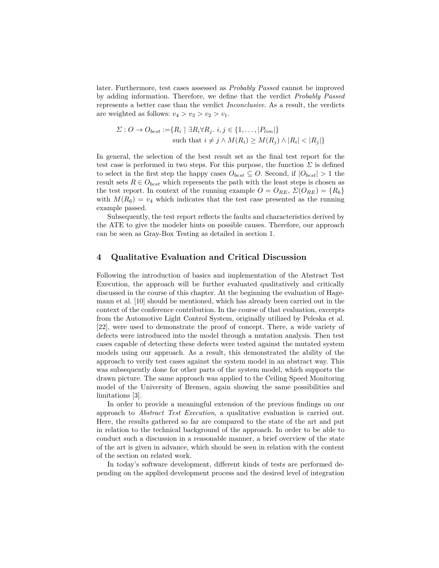later. Furthermore, test cases assessed as *Probably Passed* cannot be improved by adding information. Therefore, we define that the verdict *Probably Passed* represents a better case than the verdict *Inconclusive*. As a result, the verdicts are weighted as follows:  $v_4 > v_3 > v_2 > v_1$ .

$$
\Sigma: O \to O_{best} := \{ R_i \mid \exists R_i \forall R_j. \ i, j \in \{1, ..., |P_{lim}|\}
$$
  
such that  $i \neq j \land M(R_i) \geq M(R_j) \land |R_i| < |R_j| \}$ 

In general, the selection of the best result set as the final test report for the test case is performed in two steps. For this purpose, the function  $\Sigma$  is defined to select in the first step the happy cases  $O_{best} \subseteq O$ . Second, if  $|O_{best}| > 1$  the result sets  $R \in O_{best}$  which represents the path with the least steps is chosen as the test report. In context of the running example  $O = O_{RE}$ ,  $\Sigma(O_{RE}) = \{R_6\}$ with  $M(R_6) = v_4$  which indicates that the test case presented as the running example passed.

Subsequently, the test report reflects the faults and characteristics derived by the ATE to give the modeler hints on possible causes. Therefore, our approach can be seen as Gray-Box Testing as detailed in section [1.](#page-0-0)

## <span id="page-18-0"></span>**4 Qualitative Evaluation and Critical Discussion**

Following the introduction of basics and implementation of the Abstract Test Execution, the approach will be further evaluated qualitatively and critically discussed in the course of this chapter. At the beginning the evaluation of Hagemann et al. [\[10\]](#page-23-2) should be mentioned, which has already been carried out in the context of the conference contribution. In the course of that evaluation, excerpts from the Automotive Light Control System, originally utilized by Peleska et al. [\[22\]](#page-24-8), were used to demonstrate the proof of concept. There, a wide variety of defects were introduced into the model through a mutation analysis. Then test cases capable of detecting these defects were tested against the mutated system models using our approach. As a result, this demonstrated the ability of the approach to verify test cases against the system model in an abstract way. This was subsequently done for other parts of the system model, which supports the drawn picture. The same approach was applied to the Ceiling Speed Monitoring model of the University of Bremen, again showing the same possibilities and limitations [\[3\]](#page-23-5).

In order to provide a meaningful extension of the previous findings on our approach to *Abstract Test Execution*, a qualitative evaluation is carried out. Here, the results gathered so far are compared to the state of the art and put in relation to the technical background of the approach. In order to be able to conduct such a discussion in a reasonable manner, a brief overview of the state of the art is given in advance, which should be seen in relation with the content of the section on related work.

In today's software development, different kinds of tests are performed depending on the applied development process and the desired level of integration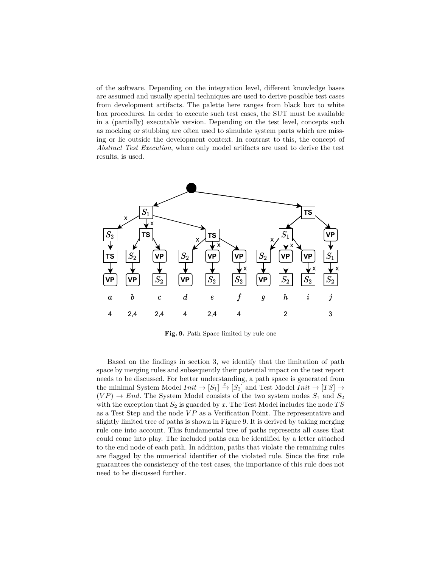of the software. Depending on the integration level, different knowledge bases are assumed and usually special techniques are used to derive possible test cases from development artifacts. The palette here ranges from black box to white box procedures. In order to execute such test cases, the SUT must be available in a (partially) executable version. Depending on the test level, concepts such as mocking or stubbing are often used to simulate system parts which are missing or lie outside the development context. In contrast to this, the concept of *Abstract Test Execution*, where only model artifacts are used to derive the test results, is used.



<span id="page-19-0"></span>**Fig. 9.** Path Space limited by rule one

Based on the findings in section [3,](#page-8-0) we identify that the limitation of path space by merging rules and subsequently their potential impact on the test report needs to be discussed. For better understanding, a path space is generated from the minimal System Model  $Init \rightarrow [S_1] \stackrel{x}{\rightarrow} [S_2]$  and Test Model  $Init \rightarrow [TS] \rightarrow$  $(VP) \rightarrow End$ . The System Model consists of the two system nodes  $S_1$  and  $S_2$ with the exception that  $S_2$  is guarded by  $x$ . The Test Model includes the node  $TS$ as a Test Step and the node *V P* as a Verification Point. The representative and slightly limited tree of paths is shown in Figure [9.](#page-19-0) It is derived by taking merging rule one into account. This fundamental tree of paths represents all cases that could come into play. The included paths can be identified by a letter attached to the end node of each path. In addition, paths that violate the remaining rules are flagged by the numerical identifier of the violated rule. Since the first rule guarantees the consistency of the test cases, the importance of this rule does not need to be discussed further.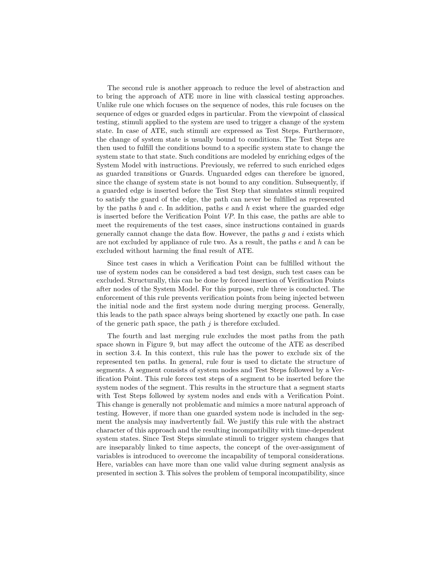The second rule is another approach to reduce the level of abstraction and to bring the approach of ATE more in line with classical testing approaches. Unlike rule one which focuses on the sequence of nodes, this rule focuses on the sequence of edges or guarded edges in particular. From the viewpoint of classical testing, stimuli applied to the system are used to trigger a change of the system state. In case of ATE, such stimuli are expressed as Test Steps. Furthermore, the change of system state is usually bound to conditions. The Test Steps are then used to fulfill the conditions bound to a specific system state to change the system state to that state. Such conditions are modeled by enriching edges of the System Model with instructions. Previously, we referred to such enriched edges as guarded transitions or Guards. Unguarded edges can therefore be ignored, since the change of system state is not bound to any condition. Subsequently, if a guarded edge is inserted before the Test Step that simulates stimuli required to satisfy the guard of the edge, the path can never be fulfilled as represented by the paths *b* and *c*. In addition, paths *e* and *h* exist where the guarded edge is inserted before the Verification Point *VP*. In this case, the paths are able to meet the requirements of the test cases, since instructions contained in guards generally cannot change the data flow. However, the paths *g* and *i* exists which are not excluded by appliance of rule two. As a result, the paths *e* and *h* can be excluded without harming the final result of ATE.

Since test cases in which a Verification Point can be fulfilled without the use of system nodes can be considered a bad test design, such test cases can be excluded. Structurally, this can be done by forced insertion of Verification Points after nodes of the System Model. For this purpose, rule three is conducted. The enforcement of this rule prevents verification points from being injected between the initial node and the first system node during merging process. Generally, this leads to the path space always being shortened by exactly one path. In case of the generic path space, the path *j* is therefore excluded.

The fourth and last merging rule excludes the most paths from the path space shown in Figure [9,](#page-19-0) but may affect the outcome of the ATE as described in section [3.4.](#page-13-0) In this context, this rule has the power to exclude six of the represented ten paths. In general, rule four is used to dictate the structure of segments. A segment consists of system nodes and Test Steps followed by a Verification Point. This rule forces test steps of a segment to be inserted before the system nodes of the segment. This results in the structure that a segment starts with Test Steps followed by system nodes and ends with a Verification Point. This change is generally not problematic and mimics a more natural approach of testing. However, if more than one guarded system node is included in the segment the analysis may inadvertently fail. We justify this rule with the abstract character of this approach and the resulting incompatibility with time-dependent system states. Since Test Steps simulate stimuli to trigger system changes that are inseparably linked to time aspects, the concept of the over-assignment of variables is introduced to overcome the incapability of temporal considerations. Here, variables can have more than one valid value during segment analysis as presented in section [3.](#page-8-0) This solves the problem of temporal incompatibility, since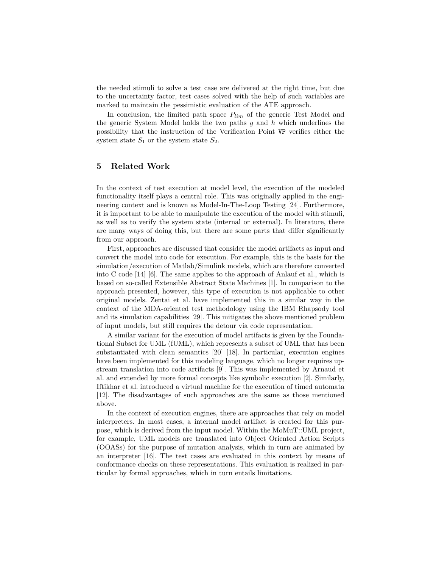the needed stimuli to solve a test case are delivered at the right time, but due to the uncertainty factor, test cases solved with the help of such variables are marked to maintain the pessimistic evaluation of the ATE approach.

In conclusion, the limited path space *Plim* of the generic Test Model and the generic System Model holds the two paths *g* and *h* which underlines the possibility that the instruction of the Verification Point VP verifies either the system state  $S_1$  or the system state  $S_2$ .

## <span id="page-21-0"></span>**5 Related Work**

In the context of test execution at model level, the execution of the modeled functionality itself plays a central role. This was originally applied in the engineering context and is known as Model-In-The-Loop Testing [\[24\]](#page-24-9). Furthermore, it is important to be able to manipulate the execution of the model with stimuli, as well as to verify the system state (internal or external). In literature, there are many ways of doing this, but there are some parts that differ significantly from our approach.

First, approaches are discussed that consider the model artifacts as input and convert the model into code for execution. For example, this is the basis for the simulation/execution of Matlab/Simulink models, which are therefore converted into C code [\[14\]](#page-23-6) [\[6\]](#page-23-7). The same applies to the approach of Anlauf et al., which is based on so-called Extensible Abstract State Machines [\[1\]](#page-23-8). In comparison to the approach presented, however, this type of execution is not applicable to other original models. Zentai et al. have implemented this in a similar way in the context of the MDA-oriented test methodology using the IBM Rhapsody tool and its simulation capabilities [\[29\]](#page-24-10). This mitigates the above mentioned problem of input models, but still requires the detour via code representation.

A similar variant for the execution of model artifacts is given by the Foundational Subset for UML (fUML), which represents a subset of UML that has been substantiated with clean semantics [\[20\]](#page-24-11) [\[18\]](#page-24-12). In particular, execution engines have been implemented for this modeling language, which no longer requires upstream translation into code artifacts [\[9\]](#page-23-9). This was implemented by Arnaud et al. and extended by more formal concepts like symbolic execution [\[2\]](#page-23-10). Similarly, Iftikhar et al. introduced a virtual machine for the execution of timed automata [\[12\]](#page-23-11). The disadvantages of such approaches are the same as those mentioned above.

In the context of execution engines, there are approaches that rely on model interpreters. In most cases, a internal model artifact is created for this purpose, which is derived from the input model. Within the MoMuT::UML project, for example, UML models are translated into Object Oriented Action Scripts (OOASs) for the purpose of mutation analysis, which in turn are animated by an interpreter [\[16\]](#page-24-13). The test cases are evaluated in this context by means of conformance checks on these representations. This evaluation is realized in particular by formal approaches, which in turn entails limitations.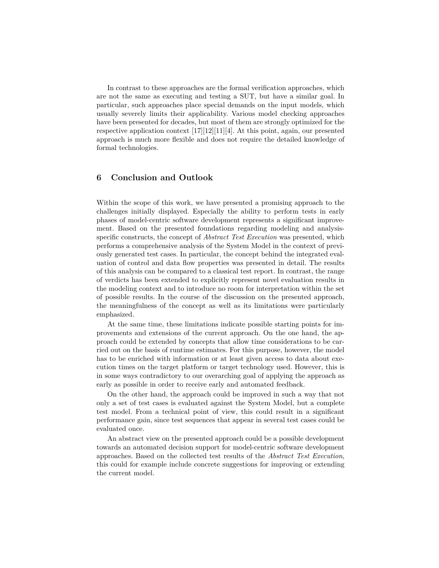In contrast to these approaches are the formal verification approaches, which are not the same as executing and testing a SUT, but have a similar goal. In particular, such approaches place special demands on the input models, which usually severely limits their applicability. Various model checking approaches have been presented for decades, but most of them are strongly optimized for the respective application context [\[17\]](#page-24-14)[\[12\]](#page-23-11)[\[11\]](#page-23-12)[\[4\]](#page-23-13). At this point, again, our presented approach is much more flexible and does not require the detailed knowledge of formal technologies.

## **6 Conclusion and Outlook**

Within the scope of this work, we have presented a promising approach to the challenges initially displayed. Especially the ability to perform tests in early phases of model-centric software development represents a significant improvement. Based on the presented foundations regarding modeling and analysisspecific constructs, the concept of *Abstract Test Execution* was presented, which performs a comprehensive analysis of the System Model in the context of previously generated test cases. In particular, the concept behind the integrated evaluation of control and data flow properties was presented in detail. The results of this analysis can be compared to a classical test report. In contrast, the range of verdicts has been extended to explicitly represent novel evaluation results in the modeling context and to introduce no room for interpretation within the set of possible results. In the course of the discussion on the presented approach, the meaningfulness of the concept as well as its limitations were particularly emphasized.

At the same time, these limitations indicate possible starting points for improvements and extensions of the current approach. On the one hand, the approach could be extended by concepts that allow time considerations to be carried out on the basis of runtime estimates. For this purpose, however, the model has to be enriched with information or at least given access to data about execution times on the target platform or target technology used. However, this is in some ways contradictory to our overarching goal of applying the approach as early as possible in order to receive early and automated feedback.

On the other hand, the approach could be improved in such a way that not only a set of test cases is evaluated against the System Model, but a complete test model. From a technical point of view, this could result in a significant performance gain, since test sequences that appear in several test cases could be evaluated once.

An abstract view on the presented approach could be a possible development towards an automated decision support for model-centric software development approaches. Based on the collected test results of the *Abstract Test Execution*, this could for example include concrete suggestions for improving or extending the current model.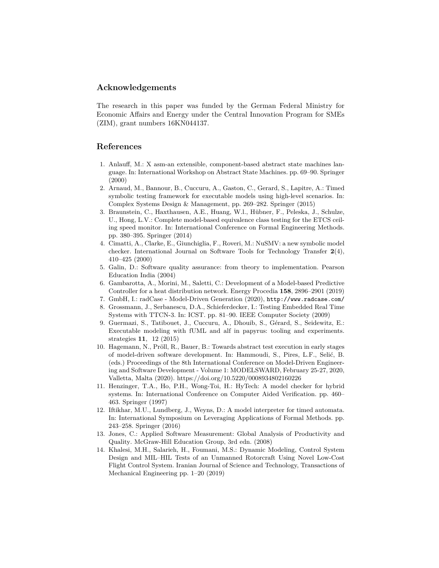## **Acknowledgements**

The research in this paper was funded by the German Federal Ministry for Economic Affairs and Energy under the Central Innovation Program for SMEs (ZIM), grant numbers 16KN044137.

## **References**

- <span id="page-23-8"></span>1. Anlauff, M.: X asm-an extensible, component-based abstract state machines language. In: International Workshop on Abstract State Machines. pp. 69–90. Springer (2000)
- <span id="page-23-10"></span>2. Arnaud, M., Bannour, B., Cuccuru, A., Gaston, C., Gerard, S., Lapitre, A.: Timed symbolic testing framework for executable models using high-level scenarios. In: Complex Systems Design & Management, pp. 269–282. Springer (2015)
- <span id="page-23-5"></span>3. Braunstein, C., Haxthausen, A.E., Huang, W.l., Hübner, F., Peleska, J., Schulze, U., Hong, L.V.: Complete model-based equivalence class testing for the ETCS ceiling speed monitor. In: International Conference on Formal Engineering Methods. pp. 380–395. Springer (2014)
- <span id="page-23-13"></span>4. Cimatti, A., Clarke, E., Giunchiglia, F., Roveri, M.: NuSMV: a new symbolic model checker. International Journal on Software Tools for Technology Transfer **2**(4), 410–425 (2000)
- <span id="page-23-0"></span>5. Galin, D.: Software quality assurance: from theory to implementation. Pearson Education India (2004)
- <span id="page-23-7"></span>6. Gambarotta, A., Morini, M., Saletti, C.: Development of a Model-based Predictive Controller for a heat distribution network. Energy Procedia **158**, 2896–2901 (2019)
- <span id="page-23-3"></span>7. GmbH, I.: radCase - Model-Driven Generation (2020), <http://www.radcase.com/>
- <span id="page-23-4"></span>8. Grossmann, J., Serbanescu, D.A., Schieferdecker, I.: Testing Embedded Real Time Systems with TTCN-3. In: ICST. pp. 81–90. IEEE Computer Society (2009)
- <span id="page-23-9"></span>9. Guermazi, S., Tatibouet, J., Cuccuru, A., Dhouib, S., Gérard, S., Seidewitz, E.: Executable modeling with fUML and alf in papyrus: tooling and experiments. strategies **11**, 12 (2015)
- <span id="page-23-2"></span>10. Hagemann, N., Pröll, R., Bauer, B.: Towards abstract test execution in early stages of model-driven software development. In: Hammoudi, S., Pires, L.F., Selić, B. (eds.) Proceedings of the 8th International Conference on Model-Driven Engineering and Software Development - Volume 1: MODELSWARD, February 25-27, 2020, Valletta, Malta (2020).<https://doi.org/10.5220/0008934802160226>
- <span id="page-23-12"></span>11. Henzinger, T.A., Ho, P.H., Wong-Toi, H.: HyTech: A model checker for hybrid systems. In: International Conference on Computer Aided Verification. pp. 460– 463. Springer (1997)
- <span id="page-23-11"></span>12. Iftikhar, M.U., Lundberg, J., Weyns, D.: A model interpreter for timed automata. In: International Symposium on Leveraging Applications of Formal Methods. pp. 243–258. Springer (2016)
- <span id="page-23-1"></span>13. Jones, C.: Applied Software Measurement: Global Analysis of Productivity and Quality. McGraw-Hill Education Group, 3rd edn. (2008)
- <span id="page-23-6"></span>14. Khalesi, M.H., Salarieh, H., Foumani, M.S.: Dynamic Modeling, Control System Design and MIL–HIL Tests of an Unmanned Rotorcraft Using Novel Low-Cost Flight Control System. Iranian Journal of Science and Technology, Transactions of Mechanical Engineering pp. 1–20 (2019)